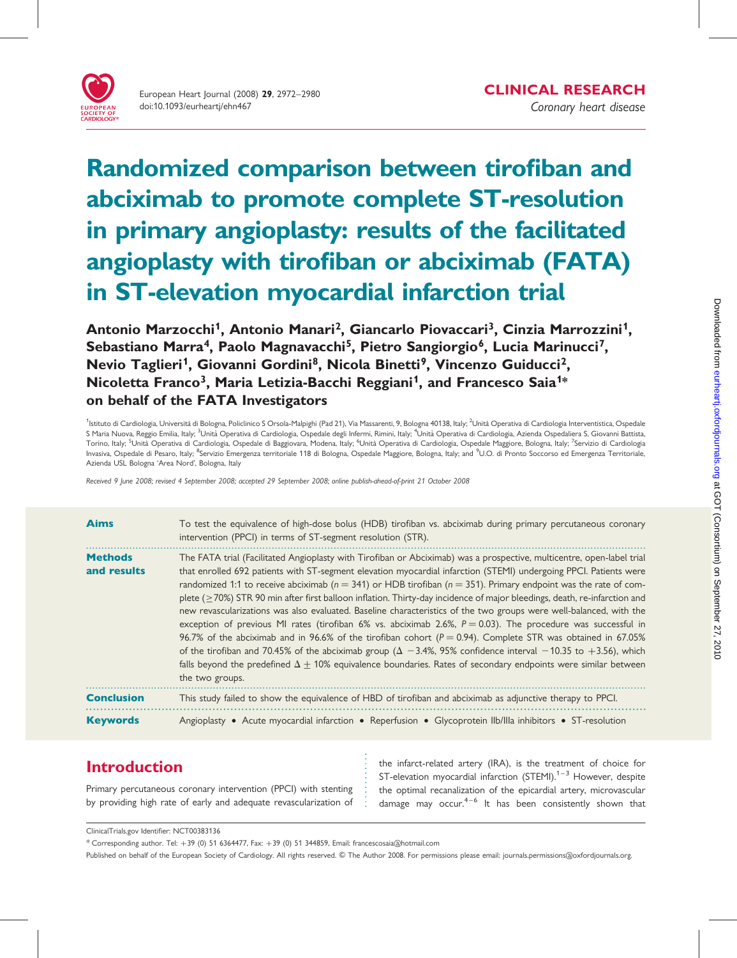

# Randomized comparison between tirofiban and abciximab to promote complete ST-resolution in primary angioplasty: results of the facilitated angioplasty with tirofiban or abciximab (FATA) in ST-elevation myocardial infarction trial

Antonio Marzocchi<sup>1</sup>, Antonio Manari<sup>2</sup>, Giancarlo Piovaccari<sup>3</sup>, Cinzia Marrozzini<sup>1</sup>, Sebastiano Marra<sup>4</sup>, Paolo Magnavacchi<sup>5</sup>, Pietro Sangiorgio<sup>6</sup>, Lucia Marinucci<sup>7</sup>, Nevio Taglieri<sup>1</sup>, Giovanni Gordini<sup>8</sup>, Nicola Binetti<sup>9</sup>, Vincenzo Guiducci<sup>2</sup>, Nicoletta Franco<sup>3</sup>, Maria Letizia-Bacchi Reggiani<sup>1</sup>, and Francesco Saia<sup>1\*</sup> on behalf of the FATA Investigators

1<br>Istituto di Cardiologia, Università di Bologna, Policlinico S Orsola-Malpighi (Pad 21), Via Massarenti, 9, Bologna 40138, Italy; <sup>2</sup>Unità Operativa di Cardiologia Interventistica, Ospedale S Maria Nuova, Reggio Emilia, Italy; <sup>3</sup>Unità Operativa di Cardiologia, Ospedale degli Infermi, Rimini, Italy; <sup>4</sup>Unità Operativa di Cardiologia, Azienda Ospedaliera S, Giovanni Battista, Torino, Italy; <sup>5</sup>Unità Operativa di Cardiologia, Ospedale di Baggiovara, Modena, Italy; <sup>6</sup>Unità Operativa di Cardiologia, Ospedale Maggiore, Bologna, Italy; <sup>7</sup>Servizio di Cardiologia Invasiva, Ospedale di Pesaro, Italy; <sup>8</sup>Servizio Emergenza territoriale 118 di Bologna, Ospedale Maggiore, Bologna, Italy; and <sup>9</sup>U.O. di Pronto Soccorso ed Emergenza Territoriale, Azienda USL Bologna 'Area Nord', Bologna, Italy

Received 9 June 2008; revised 4 September 2008; accepted 29 September 2008; online publish-ahead-of-print 21 October 2008

| <b>Aims</b>                   | To test the equivalence of high-dose bolus (HDB) tirofiban vs. abciximab during primary percutaneous coronary<br>intervention (PPCI) in terms of ST-segment resolution (STR).                                                                                                                                                                                                                                                                                                                                                                                                                                                                                                                                                                                                                                                                                                                                                                                                                                                                                                                                                    |
|-------------------------------|----------------------------------------------------------------------------------------------------------------------------------------------------------------------------------------------------------------------------------------------------------------------------------------------------------------------------------------------------------------------------------------------------------------------------------------------------------------------------------------------------------------------------------------------------------------------------------------------------------------------------------------------------------------------------------------------------------------------------------------------------------------------------------------------------------------------------------------------------------------------------------------------------------------------------------------------------------------------------------------------------------------------------------------------------------------------------------------------------------------------------------|
| <b>Methods</b><br>and results | The FATA trial (Facilitated Angioplasty with Tirofiban or Abciximab) was a prospective, multicentre, open-label trial<br>that enrolled 692 patients with ST-segment elevation myocardial infarction (STEMI) undergoing PPCI. Patients were<br>randomized 1:1 to receive abciximab ( $n = 341$ ) or HDB tirofiban ( $n = 351$ ). Primary endpoint was the rate of com-<br>plete (>70%) STR 90 min after first balloon inflation. Thirty-day incidence of major bleedings, death, re-infarction and<br>new revascularizations was also evaluated. Baseline characteristics of the two groups were well-balanced, with the<br>exception of previous MI rates (tirofiban 6% vs. abciximab 2.6%, $P = 0.03$ ). The procedure was successful in<br>96.7% of the abciximab and in 96.6% of the tirofiban cohort ( $P = 0.94$ ). Complete STR was obtained in 67.05%<br>of the tirofiban and 70.45% of the abciximab group ( $\Delta$ -3.4%, 95% confidence interval -10.35 to +3.56), which<br>falls beyond the predefined $\Delta + 10\%$ equivalence boundaries. Rates of secondary endpoints were similar between<br>the two groups. |
| <b>Conclusion</b>             | This study failed to show the equivalence of HBD of tirofiban and abciximab as adjunctive therapy to PPCI.                                                                                                                                                                                                                                                                                                                                                                                                                                                                                                                                                                                                                                                                                                                                                                                                                                                                                                                                                                                                                       |
| <b>Keywords</b>               | Angioplasty . Acute myocardial infarction . Reperfusion . Glycoprotein IIb/IIIa inhibitors . ST-resolution                                                                                                                                                                                                                                                                                                                                                                                                                                                                                                                                                                                                                                                                                                                                                                                                                                                                                                                                                                                                                       |

# Introduction

Primary percutaneous coronary intervention (PPCI) with stenting by providing high rate of early and adequate revascularization of the infarct-related artery (IRA), is the treatment of choice for ST-elevation myocardial infarction (STEMI). $1-3$  However, despite the optimal recanalization of the epicardial artery, microvascular damage may occur. $4-6$  It has been consistently shown that

ClinicalTrials.gov Identifier: NCT00383136

<sup>\*</sup> Corresponding author. Tel: þ39 (0) 51 6364477, Fax: þ39 (0) 51 344859, Email: francescosaia@hotmail.com

Published on behalf of the European Society of Cardiology. All rights reserved. © The Author 2008. For permissions please email: journals.permissions@oxfordjournals.org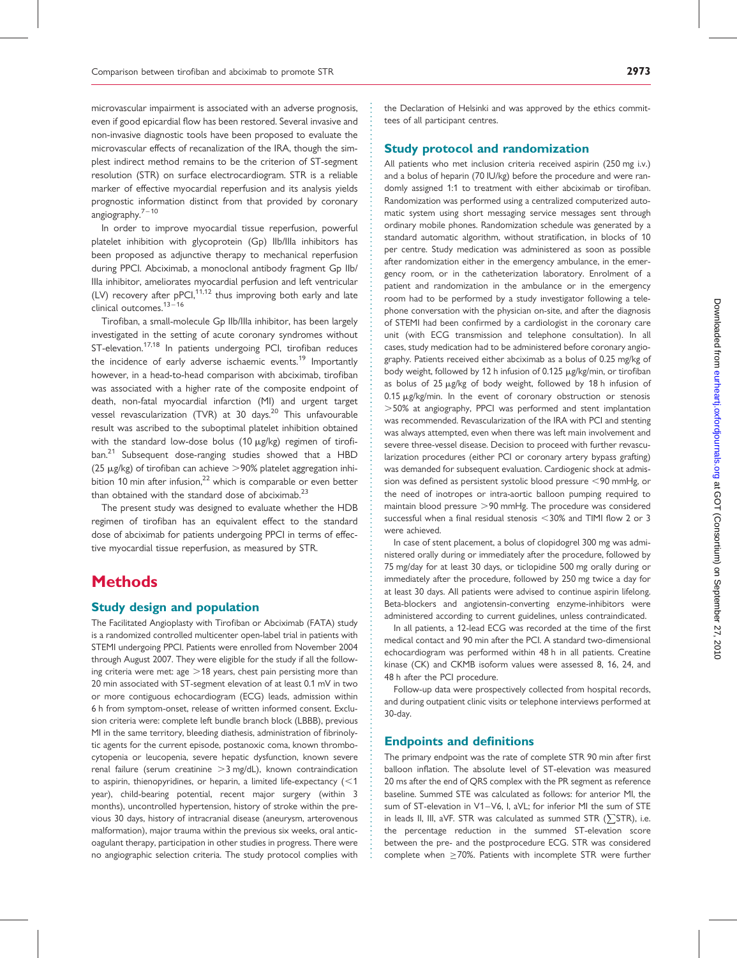microvascular impairment is associated with an adverse prognosis, even if good epicardial flow has been restored. Several invasive and non-invasive diagnostic tools have been proposed to evaluate the microvascular effects of recanalization of the IRA, though the simplest indirect method remains to be the criterion of ST-segment resolution (STR) on surface electrocardiogram. STR is a reliable marker of effective myocardial reperfusion and its analysis yields prognostic information distinct from that provided by coronary angiography. $7-10$ 

In order to improve myocardial tissue reperfusion, powerful platelet inhibition with glycoprotein (Gp) IIb/IIIa inhibitors has been proposed as adjunctive therapy to mechanical reperfusion during PPCI. Abciximab, a monoclonal antibody fragment Gp IIb/ IIIa inhibitor, ameliorates myocardial perfusion and left ventricular (LV) recovery after  $pPCl$ ,  $11,12$  thus improving both early and late clinical outcomes.<sup>13-16</sup>

Tirofiban, a small-molecule Gp IIb/IIIa inhibitor, has been largely investigated in the setting of acute coronary syndromes without ST-elevation.<sup>17,18</sup> In patients undergoing PCI, tirofiban reduces the incidence of early adverse ischaemic events.<sup>19</sup> Importantly however, in a head-to-head comparison with abciximab, tirofiban was associated with a higher rate of the composite endpoint of death, non-fatal myocardial infarction (MI) and urgent target vessel revascularization (TVR) at 30 days.<sup>20</sup> This unfavourable result was ascribed to the suboptimal platelet inhibition obtained with the standard low-dose bolus (10 µg/kg) regimen of tirofiban.<sup>21</sup> Subsequent dose-ranging studies showed that a HBD (25  $\mu$ g/kg) of tirofiban can achieve  $>$ 90% platelet aggregation inhibition 10 min after infusion,<sup>22</sup> which is comparable or even better than obtained with the standard dose of abciximab. $23$ 

The present study was designed to evaluate whether the HDB regimen of tirofiban has an equivalent effect to the standard dose of abciximab for patients undergoing PPCI in terms of effective myocardial tissue reperfusion, as measured by STR.

### **Methods**

#### Study design and population

The Facilitated Angioplasty with Tirofiban or Abciximab (FATA) study is a randomized controlled multicenter open-label trial in patients with STEMI undergoing PPCI. Patients were enrolled from November 2004 through August 2007. They were eligible for the study if all the following criteria were met: age  $>$  18 years, chest pain persisting more than 20 min associated with ST-segment elevation of at least 0.1 mV in two or more contiguous echocardiogram (ECG) leads, admission within 6 h from symptom-onset, release of written informed consent. Exclusion criteria were: complete left bundle branch block (LBBB), previous MI in the same territory, bleeding diathesis, administration of fibrinolytic agents for the current episode, postanoxic coma, known thrombocytopenia or leucopenia, severe hepatic dysfunction, known severe renal failure (serum creatinine  $>3$  mg/dL), known contraindication to aspirin, thienopyridines, or heparin, a limited life-expectancy  $(<1$ year), child-bearing potential, recent major surgery (within 3 months), uncontrolled hypertension, history of stroke within the previous 30 days, history of intracranial disease (aneurysm, arterovenous malformation), major trauma within the previous six weeks, oral anticoagulant therapy, participation in other studies in progress. There were no angiographic selection criteria. The study protocol complies with

the Declaration of Helsinki and was approved by the ethics committees of all participant centres.

#### Study protocol and randomization

All patients who met inclusion criteria received aspirin (250 mg i.v.) and a bolus of heparin (70 IU/kg) before the procedure and were randomly assigned 1:1 to treatment with either abciximab or tirofiban. Randomization was performed using a centralized computerized automatic system using short messaging service messages sent through ordinary mobile phones. Randomization schedule was generated by a standard automatic algorithm, without stratification, in blocks of 10 per centre. Study medication was administered as soon as possible after randomization either in the emergency ambulance, in the emergency room, or in the catheterization laboratory. Enrolment of a patient and randomization in the ambulance or in the emergency room had to be performed by a study investigator following a telephone conversation with the physician on-site, and after the diagnosis of STEMI had been confirmed by a cardiologist in the coronary care unit (with ECG transmission and telephone consultation). In all cases, study medication had to be administered before coronary angiography. Patients received either abciximab as a bolus of 0.25 mg/kg of body weight, followed by 12 h infusion of 0.125 µg/kg/min, or tirofiban as bolus of 25 µg/kg of body weight, followed by 18 h infusion of  $0.15 \mu g$ /kg/min. In the event of coronary obstruction or stenosis .50% at angiography, PPCI was performed and stent implantation was recommended. Revascularization of the IRA with PCI and stenting was always attempted, even when there was left main involvement and severe three-vessel disease. Decision to proceed with further revascularization procedures (either PCI or coronary artery bypass grafting) was demanded for subsequent evaluation. Cardiogenic shock at admission was defined as persistent systolic blood pressure <90 mmHg, or the need of inotropes or intra-aortic balloon pumping required to maintain blood pressure > 90 mmHg. The procedure was considered successful when a final residual stenosis  $<$  30% and TIMI flow 2 or 3 were achieved.

In case of stent placement, a bolus of clopidogrel 300 mg was administered orally during or immediately after the procedure, followed by 75 mg/day for at least 30 days, or ticlopidine 500 mg orally during or immediately after the procedure, followed by 250 mg twice a day for at least 30 days. All patients were advised to continue aspirin lifelong. Beta-blockers and angiotensin-converting enzyme-inhibitors were administered according to current guidelines, unless contraindicated.

In all patients, a 12-lead ECG was recorded at the time of the first medical contact and 90 min after the PCI. A standard two-dimensional echocardiogram was performed within 48 h in all patients. Creatine kinase (CK) and CKMB isoform values were assessed 8, 16, 24, and 48 h after the PCI procedure.

Follow-up data were prospectively collected from hospital records, and during outpatient clinic visits or telephone interviews performed at 30-day.

#### Endpoints and definitions

The primary endpoint was the rate of complete STR 90 min after first balloon inflation. The absolute level of ST-elevation was measured 20 ms after the end of QRS complex with the PR segment as reference baseline. Summed STE was calculated as follows: for anterior MI, the sum of ST-elevation in V1–V6, I, aVL; for inferior MI the sum of STE in leads II, III, aVF. STR was calculated as summed STR ( $\sum$ STR), i.e. the percentage reduction in the summed ST-elevation score between the pre- and the postprocedure ECG. STR was considered complete when  $\geq$ 70%. Patients with incomplete STR were further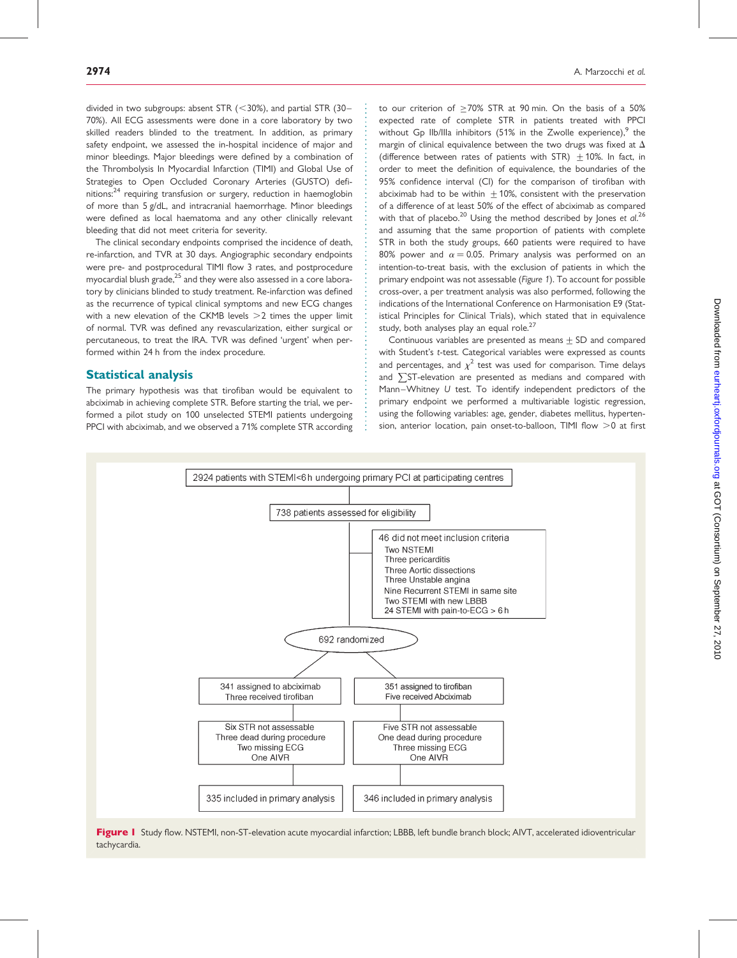divided in two subgroups: absent STR  $(<$  30%), and partial STR (30– 70%). All ECG assessments were done in a core laboratory by two skilled readers blinded to the treatment. In addition, as primary safety endpoint, we assessed the in-hospital incidence of major and minor bleedings. Major bleedings were defined by a combination of the Thrombolysis In Myocardial Infarction (TIMI) and Global Use of Strategies to Open Occluded Coronary Arteries (GUSTO) definitions:<sup>24</sup> requiring transfusion or surgery, reduction in haemoglobin of more than 5 g/dL, and intracranial haemorrhage. Minor bleedings were defined as local haematoma and any other clinically relevant bleeding that did not meet criteria for severity.

The clinical secondary endpoints comprised the incidence of death, re-infarction, and TVR at 30 days. Angiographic secondary endpoints were pre- and postprocedural TIMI flow 3 rates, and postprocedure myocardial blush grade,<sup>25</sup> and they were also assessed in a core laboratory by clinicians blinded to study treatment. Re-infarction was defined as the recurrence of typical clinical symptoms and new ECG changes with a new elevation of the CKMB levels  $>$ 2 times the upper limit of normal. TVR was defined any revascularization, either surgical or percutaneous, to treat the IRA. TVR was defined 'urgent' when performed within 24 h from the index procedure.

#### Statistical analysis

The primary hypothesis was that tirofiban would be equivalent to abciximab in achieving complete STR. Before starting the trial, we performed a pilot study on 100 unselected STEMI patients undergoing PPCI with abciximab, and we observed a 71% complete STR according

to our criterion of  $\geq 70\%$  STR at 90 min. On the basis of a 50% expected rate of complete STR in patients treated with PPCI without Gp IIb/IIIa inhibitors (51% in the Zwolle experience), $9$  the margin of clinical equivalence between the two drugs was fixed at  $\Delta$ (difference between rates of patients with  $STR$ ) + 10%. In fact, in order to meet the definition of equivalence, the boundaries of the 95% confidence interval (CI) for the comparison of tirofiban with abciximab had to be within  $\pm$  10%, consistent with the preservation of a difference of at least 50% of the effect of abciximab as compared with that of placebo.<sup>20</sup> Using the method described by Jones et  $al$ .<sup>26</sup> and assuming that the same proportion of patients with complete STR in both the study groups, 660 patients were required to have 80% power and  $\alpha = 0.05$ . Primary analysis was performed on an intention-to-treat basis, with the exclusion of patients in which the primary endpoint was not assessable (Figure 1). To account for possible cross-over, a per treatment analysis was also performed, following the indications of the International Conference on Harmonisation E9 (Statistical Principles for Clinical Trials), which stated that in equivalence study, both analyses play an equal role.<sup>27</sup>

Continuous variables are presented as means  $\pm$  SD and compared with Student's t-test. Categorical variables were expressed as counts and percentages, and  $\chi^2$  test was used for comparison. Time delays and  $\sum$ ST-elevation are presented as medians and compared with Mann–Whitney U test. To identify independent predictors of the primary endpoint we performed a multivariable logistic regression, using the following variables: age, gender, diabetes mellitus, hypertension, anterior location, pain onset-to-balloon, TIMI flow  $>0$  at first



Figure I Study flow. NSTEMI, non-ST-elevation acute myocardial infarction; LBBB, left bundle branch block; AIVT, accelerated idioventricular tachycardia.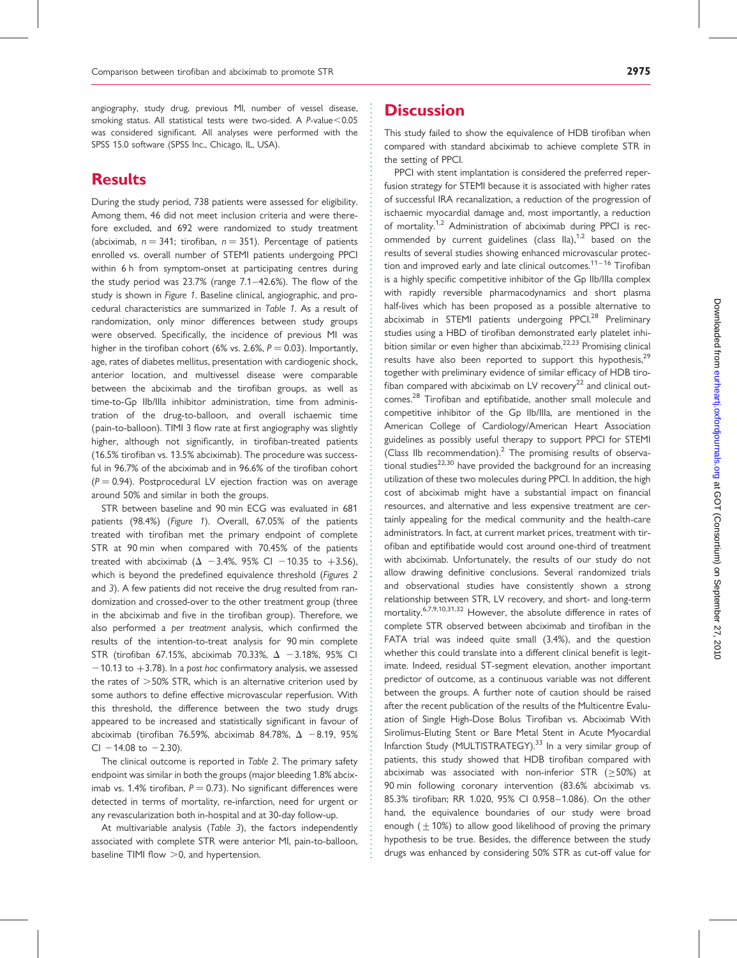angiography, study drug, previous MI, number of vessel disease, smoking status. All statistical tests were two-sided. A P-value $<$  0.05 was considered significant. All analyses were performed with the SPSS 15.0 software (SPSS Inc., Chicago, IL, USA).

## **Results**

During the study period, 738 patients were assessed for eligibility. Among them, 46 did not meet inclusion criteria and were therefore excluded, and 692 were randomized to study treatment (abciximab,  $n = 341$ ; tirofiban,  $n = 351$ ). Percentage of patients enrolled vs. overall number of STEMI patients undergoing PPCI within 6 h from symptom-onset at participating centres during the study period was 23.7% (range 7.1–42.6%). The flow of the study is shown in Figure 1. Baseline clinical, angiographic, and procedural characteristics are summarized in Table 1. As a result of randomization, only minor differences between study groups were observed. Specifically, the incidence of previous MI was higher in the tirofiban cohort (6% vs. 2.6%,  $P = 0.03$ ). Importantly, age, rates of diabetes mellitus, presentation with cardiogenic shock, anterior location, and multivessel disease were comparable between the abciximab and the tirofiban groups, as well as time-to-Gp IIb/IIIa inhibitor administration, time from administration of the drug-to-balloon, and overall ischaemic time (pain-to-balloon). TIMI 3 flow rate at first angiography was slightly higher, although not significantly, in tirofiban-treated patients (16.5% tirofiban vs. 13.5% abciximab). The procedure was successful in 96.7% of the abciximab and in 96.6% of the tirofiban cohort  $(P = 0.94)$ . Postprocedural LV ejection fraction was on average around 50% and similar in both the groups.

STR between baseline and 90 min ECG was evaluated in 681 patients (98.4%) (Figure 1). Overall, 67.05% of the patients treated with tirofiban met the primary endpoint of complete STR at 90 min when compared with 70.45% of the patients treated with abciximab ( $\Delta$  -3.4%, 95% CI -10.35 to +3.56), which is beyond the predefined equivalence threshold (Figures 2 and 3). A few patients did not receive the drug resulted from randomization and crossed-over to the other treatment group (three in the abciximab and five in the tirofiban group). Therefore, we also performed a per treatment analysis, which confirmed the results of the intention-to-treat analysis for 90 min complete STR (tirofiban 67.15%, abciximab 70.33%,  $\Delta$  -3.18%, 95% CI  $-10.13$  to  $+3.78$ ). In a post hoc confirmatory analysis, we assessed the rates of  $>50\%$  STR, which is an alternative criterion used by some authors to define effective microvascular reperfusion. With this threshold, the difference between the two study drugs appeared to be increased and statistically significant in favour of abciximab (tirofiban 76.59%, abciximab 84.78%,  $\Delta$  -8.19, 95% CI  $-14.08$  to  $-2.30$ ).

The clinical outcome is reported in Table 2. The primary safety endpoint was similar in both the groups (major bleeding 1.8% abciximab vs. 1.4% tirofiban,  $P = 0.73$ ). No significant differences were detected in terms of mortality, re-infarction, need for urgent or any revascularization both in-hospital and at 30-day follow-up.

At multivariable analysis (Table 3), the factors independently associated with complete STR were anterior MI, pain-to-balloon, baseline TIMI flow  $>$ 0, and hypertension.

# **Discussion**

This study failed to show the equivalence of HDB tirofiban when compared with standard abciximab to achieve complete STR in the setting of PPCI.

PPCI with stent implantation is considered the preferred reperfusion strategy for STEMI because it is associated with higher rates of successful IRA recanalization, a reduction of the progression of ischaemic myocardial damage and, most importantly, a reduction of mortality.<sup>1,2</sup> Administration of abciximab during PPCI is recommended by current guidelines (class  $\text{IIa}$ ),<sup>1,2</sup> based on the results of several studies showing enhanced microvascular protection and improved early and late clinical outcomes.<sup>11–16</sup> Tirofiban is a highly specific competitive inhibitor of the Gp IIb/IIIa complex with rapidly reversible pharmacodynamics and short plasma half-lives which has been proposed as a possible alternative to abciximab in STEMI patients undergoing PPCI.<sup>28</sup> Preliminary studies using a HBD of tirofiban demonstrated early platelet inhibition similar or even higher than abciximab.<sup>22,23</sup> Promising clinical results have also been reported to support this hypothesis, $2^9$ together with preliminary evidence of similar efficacy of HDB tirofiban compared with abciximab on LV recovery<sup>22</sup> and clinical outcomes.28 Tirofiban and eptifibatide, another small molecule and competitive inhibitor of the Gp IIb/IIIa, are mentioned in the American College of Cardiology/American Heart Association guidelines as possibly useful therapy to support PPCI for STEMI (Class IIb recommendation). $<sup>2</sup>$  The promising results of observa-</sup> tional studies<sup>22,30</sup> have provided the background for an increasing utilization of these two molecules during PPCI. In addition, the high cost of abciximab might have a substantial impact on financial resources, and alternative and less expensive treatment are certainly appealing for the medical community and the health-care administrators. In fact, at current market prices, treatment with tirofiban and eptifibatide would cost around one-third of treatment with abciximab. Unfortunately, the results of our study do not allow drawing definitive conclusions. Several randomized trials and observational studies have consistently shown a strong relationship between STR, LV recovery, and short- and long-term mortality.<sup>6,7,9,10,31,32</sup> However, the absolute difference in rates of complete STR observed between abciximab and tirofiban in the FATA trial was indeed quite small (3.4%), and the question whether this could translate into a different clinical benefit is legitimate. Indeed, residual ST-segment elevation, another important predictor of outcome, as a continuous variable was not different between the groups. A further note of caution should be raised after the recent publication of the results of the Multicentre Evaluation of Single High-Dose Bolus Tirofiban vs. Abciximab With Sirolimus-Eluting Stent or Bare Metal Stent in Acute Myocardial Infarction Study (MULTISTRATEGY).<sup>33</sup> In a very similar group of patients, this study showed that HDB tirofiban compared with abciximab was associated with non-inferior STR  $( \geq 50\%)$  at 90 min following coronary intervention (83.6% abciximab vs. 85.3% tirofiban; RR 1.020, 95% CI 0.958–1.086). On the other hand, the equivalence boundaries of our study were broad enough ( $\pm$ 10%) to allow good likelihood of proving the primary hypothesis to be true. Besides, the difference between the study drugs was enhanced by considering 50% STR as cut-off value for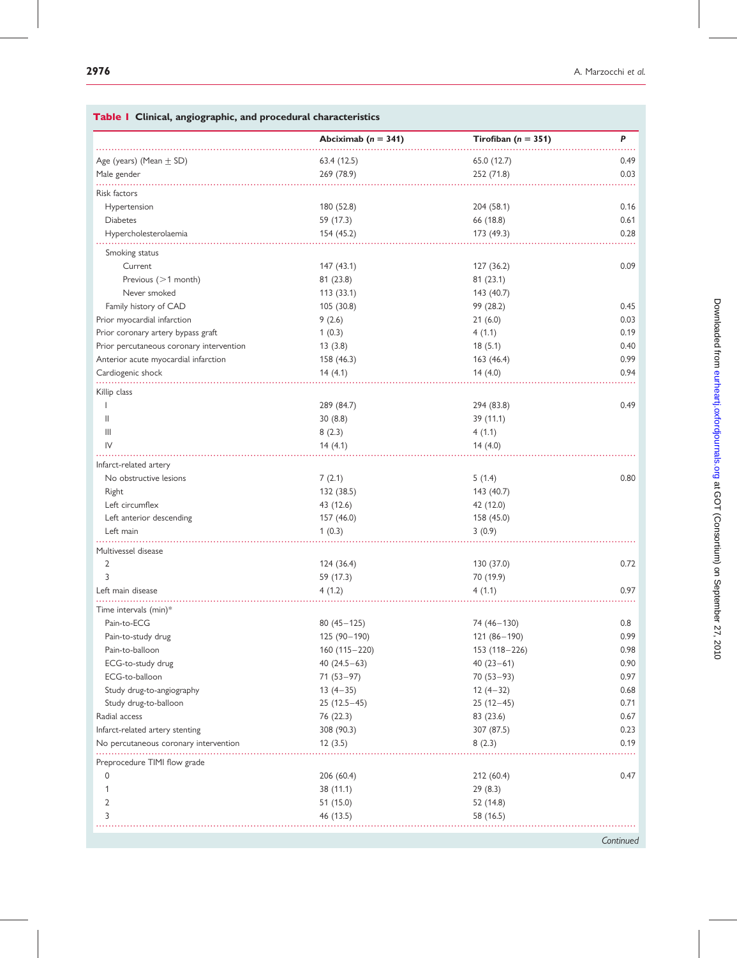| <b>Table 1</b> Cunical, anglographic, and procedural characteristics |                         |                         |           |
|----------------------------------------------------------------------|-------------------------|-------------------------|-----------|
|                                                                      | Abciximab ( $n = 341$ ) | Tirofiban ( $n = 351$ ) | P         |
| Age (years) (Mean $\pm$ SD)                                          | 63.4(12.5)              | 65.0 (12.7)             | 0.49      |
| Male gender                                                          | 269 (78.9)              | 252 (71.8)              | 0.03      |
|                                                                      |                         |                         |           |
| Risk factors                                                         |                         |                         |           |
| Hypertension                                                         | 180 (52.8)              | 204 (58.1)              | 0.16      |
| <b>Diabetes</b>                                                      | 59 (17.3)               | 66 (18.8)               | 0.61      |
| Hypercholesterolaemia                                                | 154 (45.2)              | 173 (49.3)              | 0.28      |
| Smoking status                                                       |                         |                         |           |
| Current                                                              | 147(43.1)               | 127(36.2)               | 0.09      |
| Previous $(>1$ month)                                                | 81 (23.8)               | 81(23.1)                |           |
| Never smoked                                                         | 113(33.1)               | 143 (40.7)              |           |
| Family history of CAD                                                | 105 (30.8)              | 99 (28.2)               | 0.45      |
| Prior myocardial infarction                                          | 9(2.6)                  | 21(6.0)                 | 0.03      |
| Prior coronary artery bypass graft                                   | 1(0.3)                  | 4(1.1)                  | 0.19      |
| Prior percutaneous coronary intervention                             | 13(3.8)                 | 18(5.1)                 | 0.40      |
| Anterior acute myocardial infarction                                 | 158 (46.3)              | 163 (46.4)              | 0.99      |
| Cardiogenic shock                                                    | 14(4.1)                 | 14(4.0)                 | 0.94      |
| Killip class                                                         |                         |                         |           |
|                                                                      | 289 (84.7)              | 294 (83.8)              | 0.49      |
| Ш                                                                    | 30(8.8)                 | 39 (11.1)               |           |
| Ш                                                                    | 8(2.3)                  | 4(1.1)                  |           |
| $\mathsf{I}\mathsf{V}$                                               | 14(4.1)                 | 14(4.0)                 |           |
|                                                                      |                         |                         |           |
| Infarct-related artery                                               |                         |                         |           |
| No obstructive lesions                                               | 7(2.1)                  | 5(1.4)                  | 0.80      |
| Right                                                                | 132 (38.5)              | 143 (40.7)              |           |
| Left circumflex                                                      | 43 (12.6)               | 42 (12.0)               |           |
| Left anterior descending                                             | 157 (46.0)              | 158 (45.0)              |           |
| Left main                                                            | 1(0.3)                  | 3(0.9)                  |           |
| Multivessel disease                                                  |                         |                         |           |
| 2                                                                    | 124 (36.4)              | 130 (37.0)              | 0.72      |
| 3                                                                    | 59 (17.3)               | 70 (19.9)               |           |
| Left main disease                                                    | 4(1.2)                  | 4(1.1)                  | 0.97      |
| Time intervals (min)*                                                |                         |                         |           |
| Pain-to-ECG                                                          | $80(45 - 125)$          | 74 (46-130)             | 0.8       |
| Pain-to-study drug                                                   | 125 (90-190)            | $121(86 - 190)$         | 0.99      |
| Pain-to-balloon                                                      | $160(115-220)$          | 153 (118-226)           | 0.98      |
| ECG-to-study drug                                                    | $40(24.5-63)$           | $40(23-61)$             | 0.90      |
| ECG-to-balloon                                                       | $71(53-97)$             | $70(53-93)$             | 0.97      |
| Study drug-to-angiography                                            | $13(4-35)$              | $12(4-32)$              | 0.68      |
| Study drug-to-balloon                                                | $25(12.5-45)$           | $25(12-45)$             | 0.71      |
| Radial access                                                        | 76 (22.3)               | 83 (23.6)               | 0.67      |
| Infarct-related artery stenting                                      | 308 (90.3)              | 307 (87.5)              | 0.23      |
| No percutaneous coronary intervention                                | 12(3.5)                 | 8(2.3)                  | 0.19      |
|                                                                      |                         |                         |           |
| Preprocedure TIMI flow grade<br>$\mathbf 0$                          |                         |                         |           |
| 1                                                                    | 206 (60.4)              | 212(60.4)               | 0.47      |
| $\mathbf{2}$                                                         | 38 (11.1)<br>51 (15.0)  | 29(8.3)<br>52 (14.8)    |           |
| 3                                                                    | 46 (13.5)               | 58 (16.5)               |           |
|                                                                      |                         |                         |           |
|                                                                      |                         |                         | Continued |

 $Table 1$  Clinical, angiographic, and procedural ch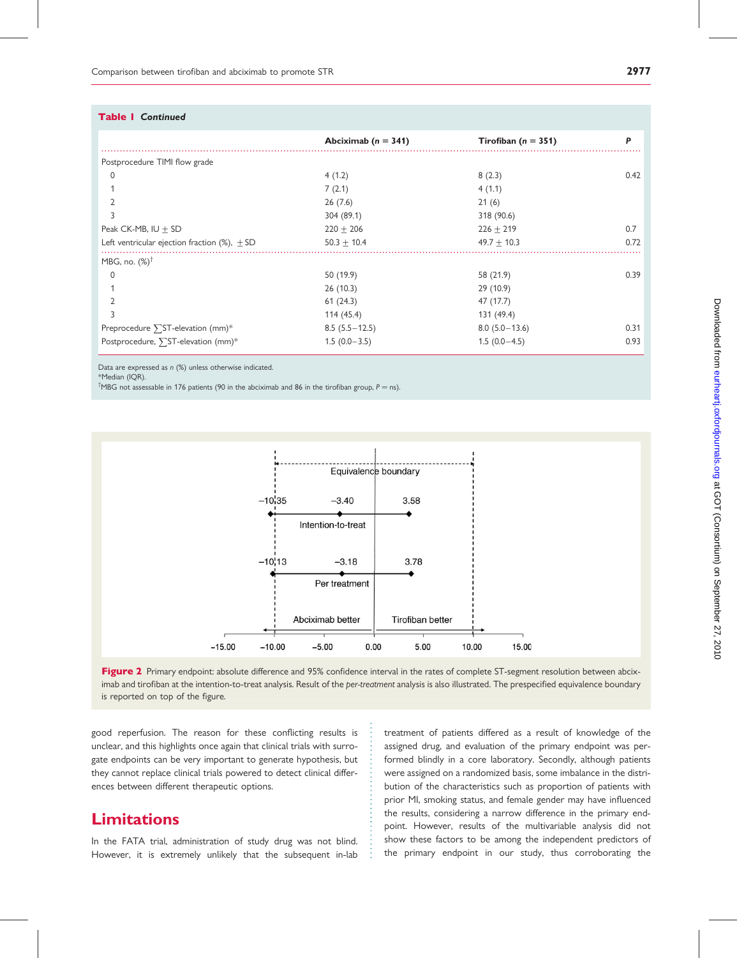#### Table 1 Continued

|                                                      | Abciximab ( $n = 341$ ) | Tirofiban ( $n = 351$ ) | P    |
|------------------------------------------------------|-------------------------|-------------------------|------|
| Postprocedure TIMI flow grade                        |                         |                         |      |
| 0                                                    | 4(1.2)                  | 8(2.3)                  | 0.42 |
|                                                      | 7(2.1)                  | 4(1.1)                  |      |
|                                                      | 26(7.6)                 | 21(6)                   |      |
|                                                      | 304 (89.1)              | 318 (90.6)              |      |
| Peak CK-MB, $IU + SD$                                | $220 + 206$             | $226 + 219$             | 0.7  |
| Left ventricular ejection fraction $(\%)$ , $\pm$ SD | $50.3 + 10.4$           | $49.7 + 10.3$           | 0.72 |
| MBG, no. $(\%)^{\dagger}$                            |                         |                         |      |
| 0                                                    | 50 (19.9)               | 58 (21.9)               | 0.39 |
|                                                      | 26(10.3)                | 29 (10.9)               |      |
|                                                      | 61(24.3)                | 47 (17.7)               |      |
|                                                      | 114(45.4)               | 131 (49.4)              |      |
| Preprocedure $\sum$ ST-elevation (mm)*               | $8.5(5.5 - 12.5)$       | $8.0(5.0-13.6)$         | 0.31 |
| Postprocedure, $\sum$ ST-elevation (mm)*             | $1.5(0.0-3.5)$          | $1.5(0.0-4.5)$          | 0.93 |

Data are expressed as n (%) unless otherwise indicated.

\*Median (IQR).

<sup>†</sup>MBG not assessable in 176 patients (90 in the abciximab and 86 in the tirofiban group,  $P =$  ns).



Figure 2 Primary endpoint: absolute difference and 95% confidence interval in the rates of complete ST-segment resolution between abciximab and tirofiban at the intention-to-treat analysis. Result of the per-treatment analysis is also illustrated. The prespecified equivalence boundary is reported on top of the figure.

good reperfusion. The reason for these conflicting results is unclear, and this highlights once again that clinical trials with surrogate endpoints can be very important to generate hypothesis, but they cannot replace clinical trials powered to detect clinical differences between different therapeutic options.

# Limitations

In the FATA trial, administration of study drug was not blind. However, it is extremely unlikely that the subsequent in-lab treatment of patients differed as a result of knowledge of the assigned drug, and evaluation of the primary endpoint was performed blindly in a core laboratory. Secondly, although patients were assigned on a randomized basis, some imbalance in the distribution of the characteristics such as proportion of patients with prior MI, smoking status, and female gender may have influenced the results, considering a narrow difference in the primary endpoint. However, results of the multivariable analysis did not show these factors to be among the independent predictors of the primary endpoint in our study, thus corroborating the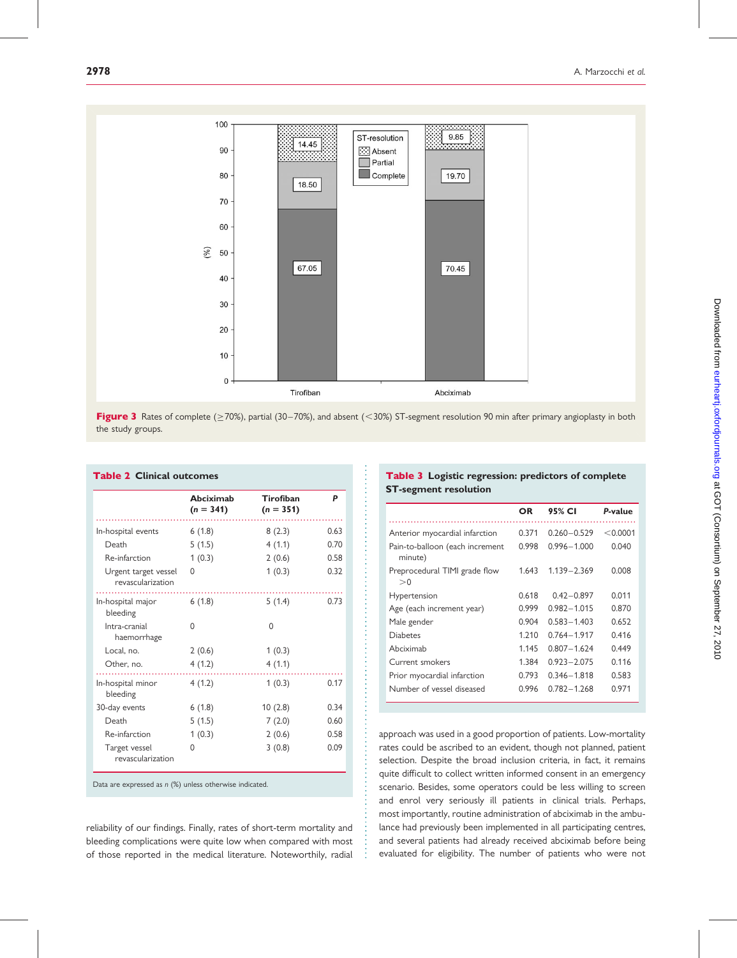

**Figure 3** Rates of complete ( $\geq$ 70%), partial (30–70%), and absent (<30%) ST-segment resolution 90 min after primary angioplasty in both the study groups.

|                                           | <b>Abciximab</b><br>$(n = 341)$ | Tirofiban<br>$(n = 351)$ | P    |
|-------------------------------------------|---------------------------------|--------------------------|------|
| In-hospital events                        | 6(1.8)                          | 8(2.3)                   | 0.63 |
| Death                                     | 5(1.5)                          | 4(1.1)                   | 0.70 |
| Re-infarction                             | 1(0.3)                          | 2(0.6)                   | 0.58 |
| Urgent target vessel<br>revascularization | 0                               | 1(0.3)                   | 0.32 |
| In-hospital major<br>bleeding             | 6(1.8)                          | 5(1.4)                   | 0.73 |
| Intra-cranial<br>haemorrhage              | $\Omega$                        | $\mathbf{0}$             |      |
| Local, no.                                | 2(0.6)                          | 1(0.3)                   |      |
| Other, no.                                | 4(1.2)                          | 4(1.1)                   |      |
| In-hospital minor<br>bleeding             | 4(1.2)                          | 1(0.3)                   | 0.17 |
| 30-day events                             | 6(1.8)                          | 10(2.8)                  | 0.34 |
| Death                                     | 5(1.5)                          | 7(2.0)                   | 0.60 |
| Re-infarction                             | 1(0.3)                          | 2(0.6)                   | 0.58 |
| Target vessel<br>revascularization        | 0                               | 3(0.8)                   | 0.09 |

Data are expressed as  $n$  (%) unless otherwise indicated.

reliability of our findings. Finally, rates of short-term mortality and bleeding complications were quite low when compared with most of those reported in the medical literature. Noteworthily, radial

#### Table 3 Logistic regression: predictors of complete ST-segment resolution

|                                              | OR    | 95% CI          | P-value  |
|----------------------------------------------|-------|-----------------|----------|
|                                              |       |                 |          |
| Anterior myocardial infarction               | 0.371 | $0.260 - 0.529$ | < 0.0001 |
| Pain-to-balloon (each increment<br>minute)   | 0.998 | 0.996-1.000     | 0.040    |
| Preprocedural TIMI grade flow<br>$>$ $\circ$ | 1.643 | 1.139 - 2.369   | 0.008    |
| Hypertension                                 | 0.618 | $0.42 - 0.897$  | 0.011    |
| Age (each increment year)                    | 0.999 | $0.982 - 1.015$ | 0.870    |
| Male gender                                  | 0.904 | $0.583 - 1.403$ | 0.652    |
| <b>Diabetes</b>                              | 1.210 | $0.764 - 1.917$ | 0.416    |
| Abciximab                                    | 1.145 | $0.807 - 1.624$ | 0.449    |
| Current smokers                              | 1.384 | $0.923 - 2.075$ | 0.116    |
| Prior myocardial infarction                  | 0.793 | $0.346 - 1.818$ | 0.583    |
| Number of vessel diseased                    | 0.996 | 0.782-1.268     | 0.971    |

approach was used in a good proportion of patients. Low-mortality rates could be ascribed to an evident, though not planned, patient selection. Despite the broad inclusion criteria, in fact, it remains quite difficult to collect written informed consent in an emergency scenario. Besides, some operators could be less willing to screen and enrol very seriously ill patients in clinical trials. Perhaps, most importantly, routine administration of abciximab in the ambulance had previously been implemented in all participating centres, and several patients had already received abciximab before being evaluated for eligibility. The number of patients who were not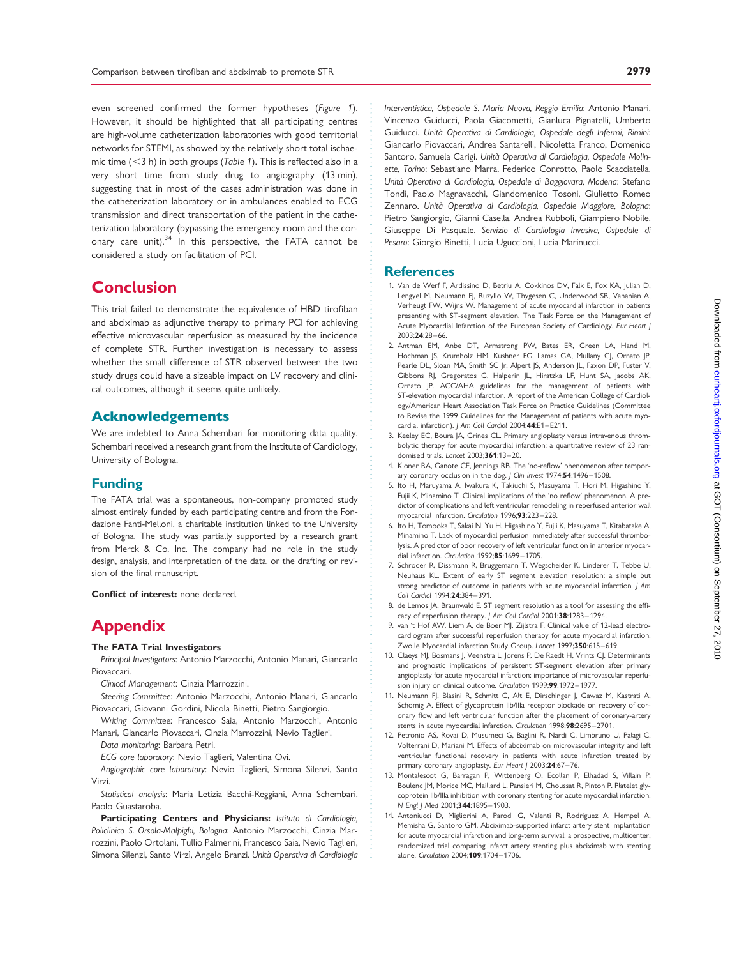even screened confirmed the former hypotheses (Figure 1). However, it should be highlighted that all participating centres are high-volume catheterization laboratories with good territorial networks for STEMI, as showed by the relatively short total ischaemic time  $(<$ 3 h) in both groups (Table 1). This is reflected also in a very short time from study drug to angiography (13 min), suggesting that in most of the cases administration was done in the catheterization laboratory or in ambulances enabled to ECG transmission and direct transportation of the patient in the catheterization laboratory (bypassing the emergency room and the coronary care unit). $34$  In this perspective, the FATA cannot be considered a study on facilitation of PCI.

## **Conclusion**

This trial failed to demonstrate the equivalence of HBD tirofiban and abciximab as adjunctive therapy to primary PCI for achieving effective microvascular reperfusion as measured by the incidence of complete STR. Further investigation is necessary to assess whether the small difference of STR observed between the two study drugs could have a sizeable impact on LV recovery and clinical outcomes, although it seems quite unlikely.

#### Acknowledgements

We are indebted to Anna Schembari for monitoring data quality. Schembari received a research grant from the Institute of Cardiology, University of Bologna.

#### Funding

The FATA trial was a spontaneous, non-company promoted study almost entirely funded by each participating centre and from the Fondazione Fanti-Melloni, a charitable institution linked to the University of Bologna. The study was partially supported by a research grant from Merck & Co. Inc. The company had no role in the study design, analysis, and interpretation of the data, or the drafting or revision of the final manuscript.

Conflict of interest: none declared.

## Appendix

#### The FATA Trial Investigators

Principal Investigators: Antonio Marzocchi, Antonio Manari, Giancarlo Piovaccari.

Clinical Management: Cinzia Marrozzini.

Steering Committee: Antonio Marzocchi, Antonio Manari, Giancarlo Piovaccari, Giovanni Gordini, Nicola Binetti, Pietro Sangiorgio.

Writing Committee: Francesco Saia, Antonio Marzocchi, Antonio Manari, Giancarlo Piovaccari, Cinzia Marrozzini, Nevio Taglieri.

Data monitoring: Barbara Petri.

ECG core laboratory: Nevio Taglieri, Valentina Ovi.

Angiographic core laboratory: Nevio Taglieri, Simona Silenzi, Santo Virzı`.

Statistical analysis: Maria Letizia Bacchi-Reggiani, Anna Schembari, Paolo Guastaroba.

Participating Centers and Physicians: Istituto di Cardiologia, Policlinico S. Orsola-Malpighi, Bologna: Antonio Marzocchi, Cinzia Marrozzini, Paolo Ortolani, Tullio Palmerini, Francesco Saia, Nevio Taglieri, Simona Silenzi, Santo Virzì, Angelo Branzi. Unità Operativa di Cardiologia

Interventistica, Ospedale S. Maria Nuova, Reggio Emilia: Antonio Manari, Vincenzo Guiducci, Paola Giacometti, Gianluca Pignatelli, Umberto Guiducci. Unità Operativa di Cardiologia, Ospedale degli Infermi, Rimini: Giancarlo Piovaccari, Andrea Santarelli, Nicoletta Franco, Domenico Santoro, Samuela Carigi. Unità Oberativa di Cardiologia, Ospedale Molinette, Torino: Sebastiano Marra, Federico Conrotto, Paolo Scacciatella. Unita` Operativa di Cardiologia, Ospedale di Baggiovara, Modena: Stefano Tondi, Paolo Magnavacchi, Giandomenico Tosoni, Giulietto Romeo Zennaro. Unità Operativa di Cardiologia, Ospedale Maggiore, Bologna: Pietro Sangiorgio, Gianni Casella, Andrea Rubboli, Giampiero Nobile, Giuseppe Di Pasquale. Servizio di Cardiologia Invasiva, Ospedale di Pesaro: Giorgio Binetti, Lucia Uguccioni, Lucia Marinucci.

#### **References**

- 1. Van de Werf F, Ardissino D, Betriu A, Cokkinos DV, Falk E, Fox KA, Julian D, Lengyel M, Neumann FJ, Ruzyllo W, Thygesen C, Underwood SR, Vahanian A, Verheugt FW, Wijns W. Management of acute myocardial infarction in patients presenting with ST-segment elevation. The Task Force on the Management of Acute Myocardial Infarction of the European Society of Cardiology. Eur Heart J 2003;24:28–66.
- 2. Antman EM, Anbe DT, Armstrong PW, Bates ER, Green LA, Hand M, Hochman JS, Krumholz HM, Kushner FG, Lamas GA, Mullany CJ, Ornato JP, Pearle DL, Sloan MA, Smith SC Jr, Alpert JS, Anderson JL, Faxon DP, Fuster V, Gibbons RJ, Gregoratos G, Halperin JL, Hiratzka LF, Hunt SA, Jacobs AK, Ornato JP. ACC/AHA guidelines for the management of patients with ST-elevation myocardial infarction. A report of the American College of Cardiology/American Heart Association Task Force on Practice Guidelines (Committee to Revise the 1999 Guidelines for the Management of patients with acute myocardial infarction). J Am Coll Cardiol 2004;44:E1-E211.
- 3. Keeley EC, Boura JA, Grines CL. Primary angioplasty versus intravenous thrombolytic therapy for acute myocardial infarction: a quantitative review of 23 randomised trials. Lancet 2003;361:13-20.
- 4. Kloner RA, Ganote CE, Jennings RB. The 'no-reflow' phenomenon after temporary coronary occlusion in the dog. J Clin Invest 1974;54:1496-1508.
- 5. Ito H, Maruyama A, Iwakura K, Takiuchi S, Masuyama T, Hori M, Higashino Y, Fujii K, Minamino T. Clinical implications of the 'no reflow' phenomenon. A predictor of complications and left ventricular remodeling in reperfused anterior wall myocardial infarction. Circulation 1996;93:223-228.
- 6. Ito H, Tomooka T, Sakai N, Yu H, Higashino Y, Fujii K, Masuyama T, Kitabatake A, Minamino T. Lack of myocardial perfusion immediately after successful thrombolysis. A predictor of poor recovery of left ventricular function in anterior myocardial infarction. Circulation 1992;85:1699–1705.
- 7. Schroder R, Dissmann R, Bruggemann T, Wegscheider K, Linderer T, Tebbe U, Neuhaus KL. Extent of early ST segment elevation resolution: a simple but strong predictor of outcome in patients with acute myocardial infarction. J Am Coll Cardiol 1994;24:384–391.
- 8. de Lemos JA, Braunwald E. ST segment resolution as a tool for assessing the efficacy of reperfusion therapy. J Am Coll Cardiol 2001;38:1283-1294
- 9. van 't Hof AW, Liem A, de Boer MJ, Zijlstra F. Clinical value of 12-lead electrocardiogram after successful reperfusion therapy for acute myocardial infarction. Zwolle Myocardial infarction Study Group. Lancet 1997;350:615–619.
- 10. Claeys MJ, Bosmans J, Veenstra L, Jorens P, De Raedt H, Vrints CJ. Determinants and prognostic implications of persistent ST-segment elevation after primary angioplasty for acute myocardial infarction: importance of microvascular reperfusion injury on clinical outcome. Circulation 1999;99:1972-1977.
- 11. Neumann FJ, Blasini R, Schmitt C, Alt E, Dirschinger J, Gawaz M, Kastrati A, Schomig A. Effect of glycoprotein IIb/IIIa receptor blockade on recovery of coronary flow and left ventricular function after the placement of coronary-artery stents in acute myocardial infarction. Circulation 1998;98:2695-2701.
- 12. Petronio AS, Rovai D, Musumeci G, Baglini R, Nardi C, Limbruno U, Palagi C, Volterrani D, Mariani M. Effects of abciximab on microvascular integrity and left ventricular functional recovery in patients with acute infarction treated by rimary coronary angioplasty. Eur Heart J 2003;24:67-76.
- 13. Montalescot G, Barragan P, Wittenberg O, Ecollan P, Elhadad S, Villain P, Boulenc JM, Morice MC, Maillard L, Pansieri M, Choussat R, Pinton P. Platelet glycoprotein IIb/IIIa inhibition with coronary stenting for acute myocardial infarction. N Engl J Med 2001;344:1895–1903.
- 14. Antoniucci D, Migliorini A, Parodi G, Valenti R, Rodriguez A, Hempel A, Memisha G, Santoro GM. Abciximab-supported infarct artery stent implantation for acute myocardial infarction and long-term survival: a prospective, multicenter, randomized trial comparing infarct artery stenting plus abciximab with stenting alone. Circulation 2004;109:1704–1706.